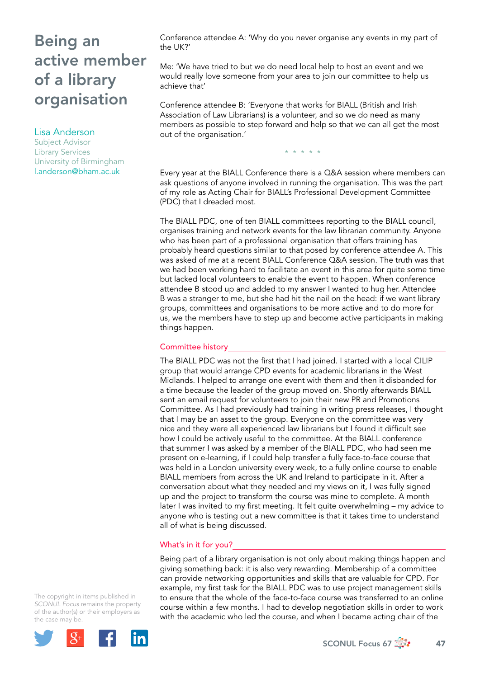# Being an active member of a library organisation

## Lisa Anderson

Subject Advisor Library Services University of Birmingham [l.anderson@bham.ac.uk](mailto:l.anderson@bham.ac.uk)

Conference attendee A: 'Why do you never organise any events in my part of the UK?'

Me: 'We have tried to but we do need local help to host an event and we would really love someone from your area to join our committee to help us achieve that'

Conference attendee B: 'Everyone that works for BIALL (British and Irish Association of Law Librarians) is a volunteer, and so we do need as many members as possible to step forward and help so that we can all get the most out of the organisation.'

\* \* \* \* \*

Every year at the BIALL Conference there is a Q&A session where members can ask questions of anyone involved in running the organisation. This was the part of my role as Acting Chair for BIALL's Professional Development Committee (PDC) that I dreaded most.

The BIALL PDC, one of ten BIALL committees reporting to the BIALL council, organises training and network events for the law librarian community. Anyone who has been part of a professional organisation that offers training has probably heard questions similar to that posed by conference attendee A. This was asked of me at a recent BIALL Conference Q&A session. The truth was that we had been working hard to facilitate an event in this area for quite some time but lacked local volunteers to enable the event to happen. When conference attendee B stood up and added to my answer I wanted to hug her. Attendee B was a stranger to me, but she had hit the nail on the head: if we want library groups, committees and organisations to be more active and to do more for us, we the members have to step up and become active participants in making things happen.

### Committee history

The BIALL PDC was not the first that I had joined. I started with a local CILIP group that would arrange CPD events for academic librarians in the West Midlands. I helped to arrange one event with them and then it disbanded for a time because the leader of the group moved on. Shortly afterwards BIALL sent an email request for volunteers to join their new PR and Promotions Committee. As I had previously had training in writing press releases, I thought that I may be an asset to the group. Everyone on the committee was very nice and they were all experienced law librarians but I found it difficult see how I could be actively useful to the committee. At the BIALL conference that summer I was asked by a member of the BIALL PDC, who had seen me present on e-learning, if I could help transfer a fully face-to-face course that was held in a London university every week, to a fully online course to enable BIALL members from across the UK and Ireland to participate in it. After a conversation about what they needed and my views on it, I was fully signed up and the project to transform the course was mine to complete. A month later I was invited to my first meeting. It felt quite overwhelming – my advice to anyone who is testing out a new committee is that it takes time to understand all of what is being discussed.

# What's in it for you?

Being part of a library organisation is not only about making things happen and giving something back: it is also very rewarding. Membership of a committee can provide networking opportunities and skills that are valuable for CPD. For example, my first task for the BIALL PDC was to use project management skills to ensure that the whole of the face-to-face course was transferred to an online course within a few months. I had to develop negotiation skills in order to work with the academic who led the course, and when I became acting chair of the

The copyright in items published in *SCONUL Focus* remains the property of the author(s) or their employers as the case may be.